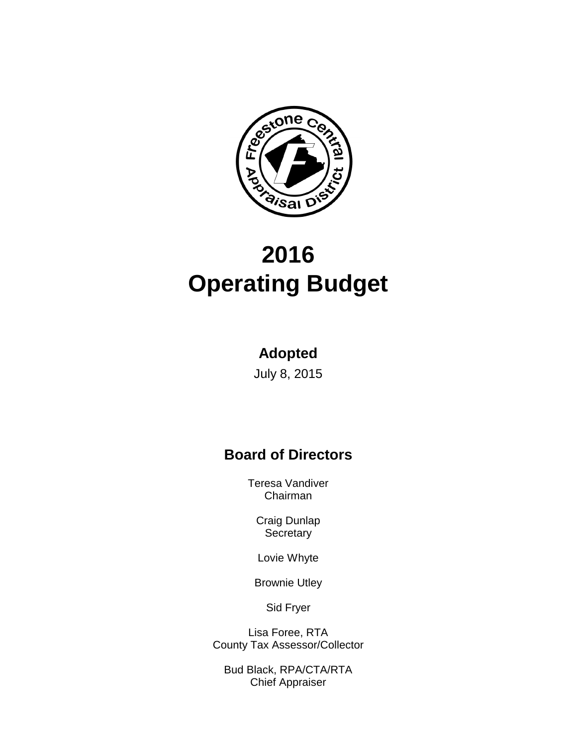

# **2016 Operating Budget**

#### **Adopted**

July 8, 2015

## **Board of Directors**

Teresa Vandiver Chairman

Craig Dunlap **Secretary** 

Lovie Whyte

Brownie Utley

Sid Fryer

Lisa Foree, RTA County Tax Assessor/Collector

Bud Black, RPA/CTA/RTA Chief Appraiser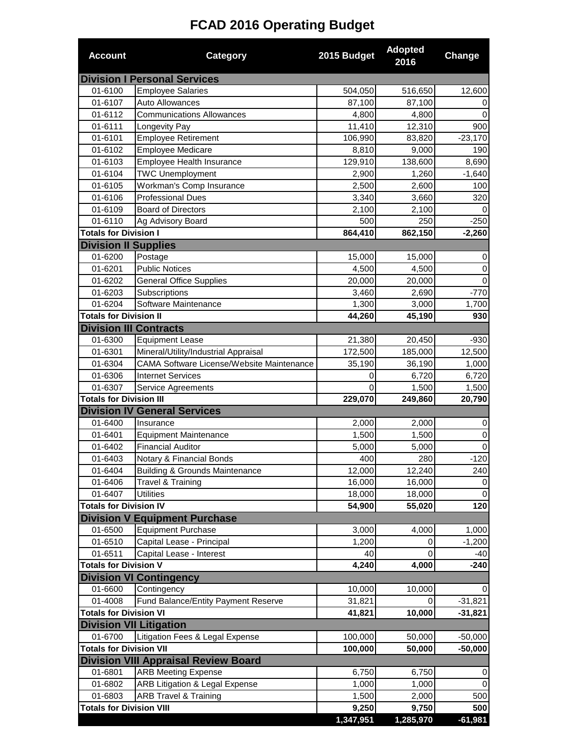# **FCAD 2016 Operating Budget**

| <b>Account</b>                             | <b>Category</b>                             | 2015 Budget    | <b>Adopted</b><br>2016 | Change      |
|--------------------------------------------|---------------------------------------------|----------------|------------------------|-------------|
|                                            | <b>Division I Personal Services</b>         |                |                        |             |
| 01-6100                                    | <b>Employee Salaries</b>                    | 504,050        | 516,650                | 12,600      |
| 01-6107                                    | Auto Allowances                             | 87,100         | 87,100                 | 0           |
| 01-6112                                    | Communications Allowances                   | 4,800          | 4,800                  | $\Omega$    |
| 01-6111                                    | Longevity Pay                               | 11,410         | 12,310                 | 900         |
| 01-6101                                    | <b>Employee Retirement</b>                  | 106,990        | 83,820                 | $-23,170$   |
| 01-6102                                    | <b>Employee Medicare</b>                    | 8,810          | 9,000                  | 190         |
| 01-6103                                    | Employee Health Insurance                   | 129,910        | 138,600                | 8,690       |
| 01-6104                                    | <b>TWC Unemployment</b>                     | 2,900          | 1,260                  | $-1,640$    |
| 01-6105                                    | Workman's Comp Insurance                    | 2,500          | 2,600                  | 100         |
| 01-6106                                    | <b>Professional Dues</b>                    | 3,340          | 3,660                  | 320         |
| 01-6109                                    | <b>Board of Directors</b>                   | 2,100          | 2,100                  |             |
| 01-6110                                    | Ag Advisory Board                           | 500            | 250                    | $-250$      |
| <b>Totals for Division I</b>               |                                             | 864,410        | 862,150                | $-2,260$    |
| <b>Division II Supplies</b>                |                                             |                |                        |             |
| 01-6200                                    | Postage                                     | 15,000         | 15,000                 | 0           |
| 01-6201                                    | <b>Public Notices</b>                       | 4,500          | 4,500                  | 0           |
| 01-6202                                    | <b>General Office Supplies</b>              | 20,000         | 20,000                 | $\Omega$    |
| 01-6203                                    | Subscriptions                               | 3,460          | 2,690                  | $-770$      |
| 01-6204                                    | Software Maintenance                        | 1,300          | 3,000                  | 1,700       |
| <b>Totals for Division II</b>              |                                             | 44,260         | 45,190                 | 930         |
| <b>Division III Contracts</b><br>01-6300   | <b>Equipment Lease</b>                      | 21,380         | 20,450                 | $-930$      |
| 01-6301                                    | Mineral/Utility/Industrial Appraisal        | 172,500        | 185,000                | 12,500      |
| 01-6304                                    | CAMA Software License/Website Maintenance   | 35,190         | 36,190                 | 1,000       |
| 01-6306                                    | <b>Internet Services</b>                    | 0              | 6,720                  | 6,720       |
| 01-6307                                    | Service Agreements                          | $\Omega$       | 1,500                  | 1,500       |
| <b>Totals for Division III</b>             |                                             | 229,070        | 249,860                | 20,790      |
|                                            | <b>Division IV General Services</b>         |                |                        |             |
| 01-6400                                    | Insurance                                   | 2,000          | 2,000                  | 0           |
| 01-6401                                    | <b>Equipment Maintenance</b>                | 1,500          | 1,500                  | $\mathbf 0$ |
| 01-6402                                    | <b>Financial Auditor</b>                    | 5,000          | 5,000                  | 0           |
| 01-6403                                    | Notary & Financial Bonds                    | 400            | 280                    | $-120$      |
| 01-6404                                    | <b>Building &amp; Grounds Maintenance</b>   | 12,000         | 12,240                 | 240         |
| 01-6406                                    | Travel & Training                           | 16,000         | 16,000                 | 0           |
| 01-6407                                    | <b>Utilities</b>                            | 18,000         | 18,000                 | 0           |
| <b>Totals for Division IV</b>              |                                             | 54,900         | 55,020                 | 120         |
|                                            | <b>Division V Equipment Purchase</b>        |                |                        |             |
| 01-6500                                    | <b>Equipment Purchase</b>                   | 3,000          | 4,000                  | 1,000       |
| 01-6510                                    | Capital Lease - Principal                   | 1,200          | 0                      | $-1,200$    |
| 01-6511                                    | Capital Lease - Interest                    | 40             | 0                      | $-40$       |
| <b>Totals for Division V</b>               |                                             | 4,240          | 4,000                  | $-240$      |
|                                            | <b>Division VI Contingency</b>              |                |                        |             |
| 01-6600                                    | Contingency                                 | 10,000         | 10,000                 | 0           |
| 01-4008                                    | Fund Balance/Entity Payment Reserve         | 31,821         | 0                      | $-31,821$   |
| <b>Totals for Division VI</b>              |                                             | 41,821         | 10,000                 | $-31,821$   |
| <b>Division VII Litigation</b>             |                                             |                |                        |             |
| 01-6700                                    | Litigation Fees & Legal Expense             | 100,000        | 50,000                 | $-50,000$   |
| <b>Totals for Division VII</b>             |                                             | 100,000        | 50,000                 | $-50,000$   |
|                                            | <b>Division VIII Appraisal Review Board</b> |                |                        |             |
| 01-6801                                    | <b>ARB Meeting Expense</b>                  | 6,750          | 6,750                  | 0           |
| 01-6802                                    | ARB Litigation & Legal Expense              | 1,000          | 1,000                  | 0           |
| 01-6803<br><b>Totals for Division VIII</b> | <b>ARB Travel &amp; Training</b>            | 1,500<br>9,250 | 2,000<br>9,750         | 500<br>500  |
|                                            |                                             | 1,347,951      | 1,285,970              | $-61,981$   |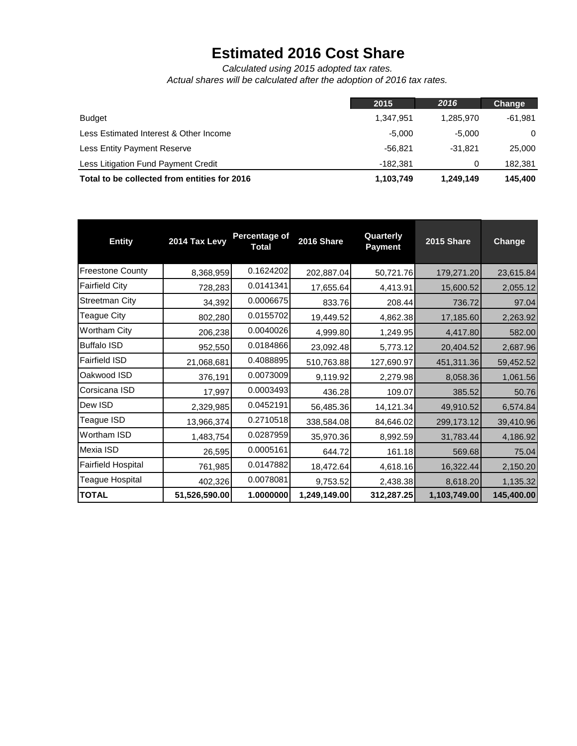## **Estimated 2016 Cost Share**

*Actual shares will be calculated after the adoption of 2016 tax rates. Calculated using 2015 adopted tax rates.*

|                                              | 2015      | 2016      | Change    |
|----------------------------------------------|-----------|-----------|-----------|
| <b>Budget</b>                                | 1.347.951 | 1.285.970 | $-61.981$ |
| Less Estimated Interest & Other Income       | $-5.000$  | -5.000    | $\Omega$  |
| Less Entity Payment Reserve                  | $-56.821$ | $-31.821$ | 25,000    |
| Less Litigation Fund Payment Credit          | -182.381  |           | 182,381   |
| Total to be collected from entities for 2016 | 1,103,749 | 1,249,149 | 145,400   |

| <b>Entity</b>             | 2014 Tax Levy | Percentage of<br><b>Total</b> | 2016 Share   | Quarterly<br><b>Payment</b> | 2015 Share   | Change     |
|---------------------------|---------------|-------------------------------|--------------|-----------------------------|--------------|------------|
| <b>Freestone County</b>   | 8,368,959     | 0.1624202                     | 202,887.04   | 50,721.76                   | 179,271.20   | 23,615.84  |
| <b>Fairfield City</b>     | 728,283       | 0.0141341                     | 17,655.64    | 4,413.91                    | 15,600.52    | 2,055.12   |
| <b>Streetman City</b>     | 34,392        | 0.0006675                     | 833.76       | 208.44                      | 736.72       | 97.04      |
| <b>Teague City</b>        | 802,280       | 0.0155702                     | 19,449.52    | 4,862.38                    | 17,185.60    | 2,263.92   |
| <b>Wortham City</b>       | 206,238       | 0.0040026                     | 4,999.80     | 1,249.95                    | 4,417.80     | 582.00     |
| <b>Buffalo ISD</b>        | 952,550       | 0.0184866                     | 23,092.48    | 5,773.12                    | 20,404.52    | 2,687.96   |
| <b>Fairfield ISD</b>      | 21,068,681    | 0.4088895                     | 510,763.88   | 127,690.97                  | 451,311.36   | 59,452.52  |
| Oakwood ISD               | 376,191       | 0.0073009                     | 9,119.92     | 2,279.98                    | 8,058.36     | 1,061.56   |
| Corsicana ISD             | 17,997        | 0.0003493                     | 436.28       | 109.07                      | 385.52       | 50.76      |
| Dew ISD                   | 2,329,985     | 0.0452191                     | 56,485.36    | 14,121.34                   | 49,910.52    | 6,574.84   |
| Teague ISD                | 13,966,374    | 0.2710518                     | 338,584.08   | 84,646.02                   | 299,173.12   | 39,410.96  |
| Wortham ISD               | 1,483,754     | 0.0287959                     | 35,970.36    | 8,992.59                    | 31,783.44    | 4,186.92   |
| Mexia ISD                 | 26,595        | 0.0005161                     | 644.72       | 161.18                      | 569.68       | 75.04      |
| <b>Fairfield Hospital</b> | 761,985       | 0.0147882                     | 18,472.64    | 4,618.16                    | 16,322.44    | 2,150.20   |
| <b>Teague Hospital</b>    | 402,326       | 0.0078081                     | 9,753.52     | 2,438.38                    | 8,618.20     | 1,135.32   |
| <b>TOTAL</b>              | 51,526,590.00 | 1.0000000                     | 1,249,149.00 | 312,287.25                  | 1,103,749.00 | 145,400.00 |